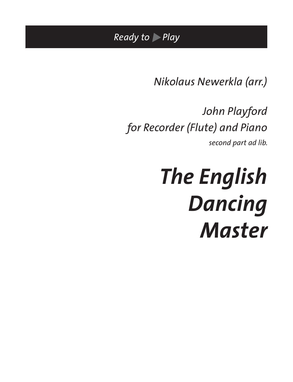*Ready to Play*

*Nikolaus Newerkla (arr.)*

*John Playford for Recorder (Flute) and Piano* 

*second part ad lib.*

*The English Dancing Master*